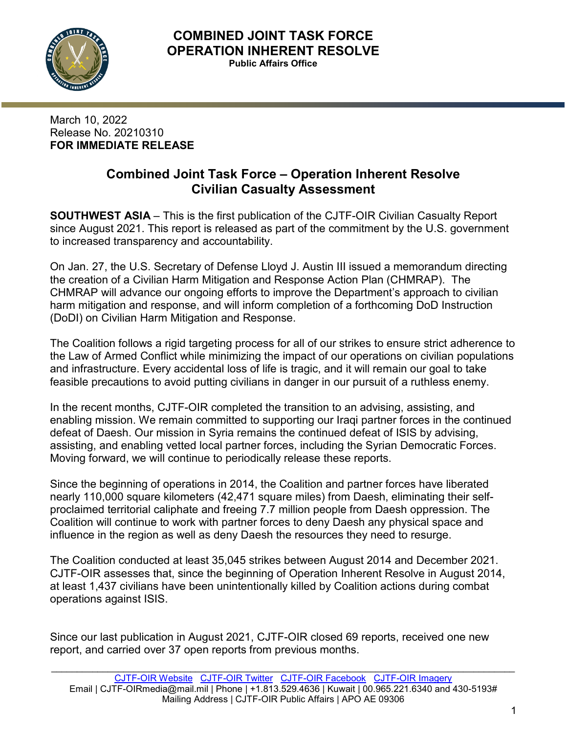

March 10, 2022 Release No. 20210310 **FOR IMMEDIATE RELEASE**

# **Combined Joint Task Force – Operation Inherent Resolve Civilian Casualty Assessment**

**SOUTHWEST ASIA** – This is the first publication of the CJTF-OIR Civilian Casualty Report since August 2021. This report is released as part of the commitment by the U.S. government to increased transparency and accountability.

On Jan. 27, the U.S. Secretary of Defense Lloyd J. Austin III issued a memorandum directing the creation of a Civilian Harm Mitigation and Response Action Plan (CHMRAP). The CHMRAP will advance our ongoing efforts to improve the Department's approach to civilian harm mitigation and response, and will inform completion of a forthcoming DoD Instruction (DoDI) on Civilian Harm Mitigation and Response.

The Coalition follows a rigid targeting process for all of our strikes to ensure strict adherence to the Law of Armed Conflict while minimizing the impact of our operations on civilian populations and infrastructure. Every accidental loss of life is tragic, and it will remain our goal to take feasible precautions to avoid putting civilians in danger in our pursuit of a ruthless enemy.

In the recent months, CJTF-OIR completed the transition to an advising, assisting, and enabling mission. We remain committed to supporting our Iraqi partner forces in the continued defeat of Daesh. Our mission in Syria remains the continued defeat of ISIS by advising, assisting, and enabling vetted local partner forces, including the Syrian Democratic Forces. Moving forward, we will continue to periodically release these reports.

Since the beginning of operations in 2014, the Coalition and partner forces have liberated nearly 110,000 square kilometers (42,471 square miles) from Daesh, eliminating their selfproclaimed territorial caliphate and freeing 7.7 million people from Daesh oppression. The Coalition will continue to work with partner forces to deny Daesh any physical space and influence in the region as well as deny Daesh the resources they need to resurge.

The Coalition conducted at least 35,045 strikes between August 2014 and December 2021. CJTF-OIR assesses that, since the beginning of Operation Inherent Resolve in August 2014, at least 1,437 civilians have been unintentionally killed by Coalition actions during combat operations against ISIS.

Since our last publication in August 2021, CJTF-OIR closed 69 reports, received one new report, and carried over 37 open reports from previous months.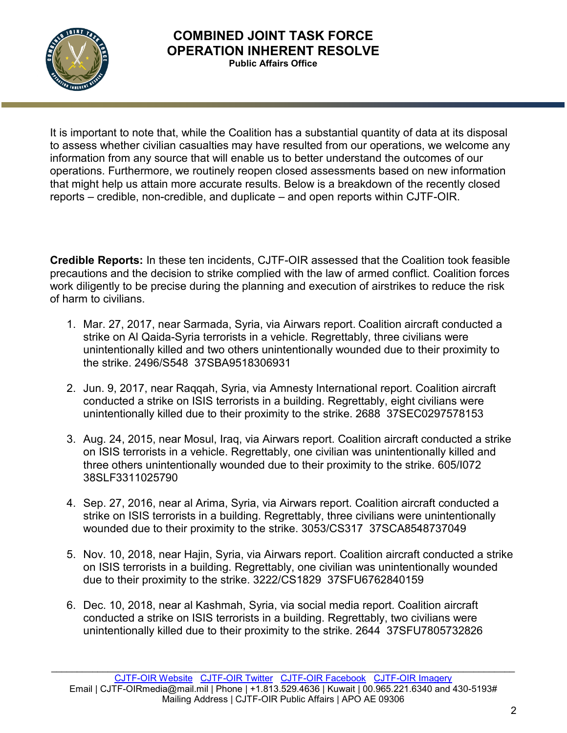

It is important to note that, while the Coalition has a substantial quantity of data at its disposal to assess whether civilian casualties may have resulted from our operations, we welcome any information from any source that will enable us to better understand the outcomes of our operations. Furthermore, we routinely reopen closed assessments based on new information that might help us attain more accurate results. Below is a breakdown of the recently closed reports – credible, non-credible, and duplicate – and open reports within CJTF-OIR.

**Credible Reports:** In these ten incidents, CJTF-OIR assessed that the Coalition took feasible precautions and the decision to strike complied with the law of armed conflict. Coalition forces work diligently to be precise during the planning and execution of airstrikes to reduce the risk of harm to civilians.

- 1. Mar. 27, 2017, near Sarmada, Syria, via Airwars report. Coalition aircraft conducted a strike on Al Qaida-Syria terrorists in a vehicle. Regrettably, three civilians were unintentionally killed and two others unintentionally wounded due to their proximity to the strike. 2496/S548 37SBA9518306931
- 2. Jun. 9, 2017, near Raqqah, Syria, via Amnesty International report. Coalition aircraft conducted a strike on ISIS terrorists in a building. Regrettably, eight civilians were unintentionally killed due to their proximity to the strike. 2688 37SEC0297578153
- 3. Aug. 24, 2015, near Mosul, Iraq, via Airwars report. Coalition aircraft conducted a strike on ISIS terrorists in a vehicle. Regrettably, one civilian was unintentionally killed and three others unintentionally wounded due to their proximity to the strike. 605/I072 38SLF3311025790
- 4. Sep. 27, 2016, near al Arima, Syria, via Airwars report. Coalition aircraft conducted a strike on ISIS terrorists in a building. Regrettably, three civilians were unintentionally wounded due to their proximity to the strike. 3053/CS317 37SCA8548737049
- 5. Nov. 10, 2018, near Hajin, Syria, via Airwars report. Coalition aircraft conducted a strike on ISIS terrorists in a building. Regrettably, one civilian was unintentionally wounded due to their proximity to the strike. 3222/CS1829 37SFU6762840159
- 6. Dec. 10, 2018, near al Kashmah, Syria, via social media report. Coalition aircraft conducted a strike on ISIS terrorists in a building. Regrettably, two civilians were unintentionally killed due to their proximity to the strike. 2644 37SFU7805732826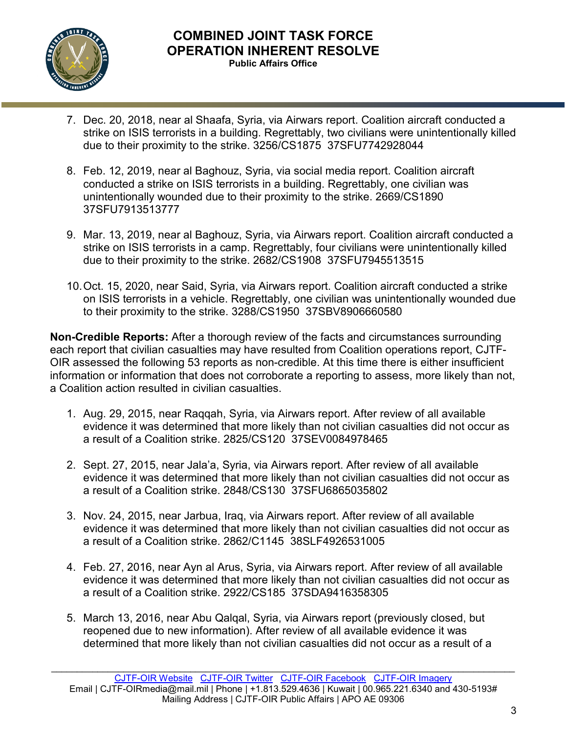

- 7. Dec. 20, 2018, near al Shaafa, Syria, via Airwars report. Coalition aircraft conducted a strike on ISIS terrorists in a building. Regrettably, two civilians were unintentionally killed due to their proximity to the strike. 3256/CS1875 37SFU7742928044
- 8. Feb. 12, 2019, near al Baghouz, Syria, via social media report. Coalition aircraft conducted a strike on ISIS terrorists in a building. Regrettably, one civilian was unintentionally wounded due to their proximity to the strike. 2669/CS1890 37SFU7913513777
- 9. Mar. 13, 2019, near al Baghouz, Syria, via Airwars report. Coalition aircraft conducted a strike on ISIS terrorists in a camp. Regrettably, four civilians were unintentionally killed due to their proximity to the strike. 2682/CS1908 37SFU7945513515
- 10.Oct. 15, 2020, near Said, Syria, via Airwars report. Coalition aircraft conducted a strike on ISIS terrorists in a vehicle. Regrettably, one civilian was unintentionally wounded due to their proximity to the strike. 3288/CS1950 37SBV8906660580

**Non-Credible Reports:** After a thorough review of the facts and circumstances surrounding each report that civilian casualties may have resulted from Coalition operations report, CJTF-OIR assessed the following 53 reports as non-credible. At this time there is either insufficient information or information that does not corroborate a reporting to assess, more likely than not, a Coalition action resulted in civilian casualties.

- 1. Aug. 29, 2015, near Raqqah, Syria, via Airwars report. After review of all available evidence it was determined that more likely than not civilian casualties did not occur as a result of a Coalition strike. 2825/CS120 37SEV0084978465
- 2. Sept. 27, 2015, near Jala'a, Syria, via Airwars report. After review of all available evidence it was determined that more likely than not civilian casualties did not occur as a result of a Coalition strike. 2848/CS130 37SFU6865035802
- 3. Nov. 24, 2015, near Jarbua, Iraq, via Airwars report. After review of all available evidence it was determined that more likely than not civilian casualties did not occur as a result of a Coalition strike. 2862/C1145 38SLF4926531005
- 4. Feb. 27, 2016, near Ayn al Arus, Syria, via Airwars report. After review of all available evidence it was determined that more likely than not civilian casualties did not occur as a result of a Coalition strike. 2922/CS185 37SDA9416358305
- 5. March 13, 2016, near Abu Qalqal, Syria, via Airwars report (previously closed, but reopened due to new information). After review of all available evidence it was determined that more likely than not civilian casualties did not occur as a result of a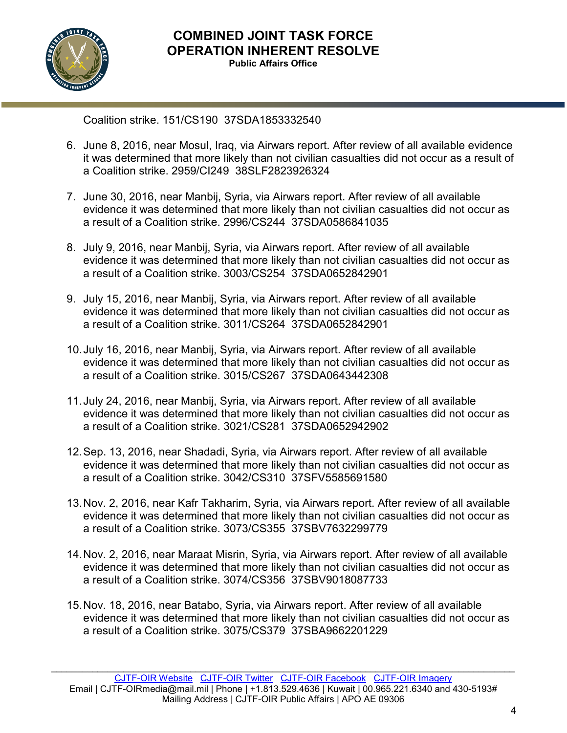

Coalition strike. 151/CS190 37SDA1853332540

- 6. June 8, 2016, near Mosul, Iraq, via Airwars report. After review of all available evidence it was determined that more likely than not civilian casualties did not occur as a result of a Coalition strike. 2959/CI249 38SLF2823926324
- 7. June 30, 2016, near Manbij, Syria, via Airwars report. After review of all available evidence it was determined that more likely than not civilian casualties did not occur as a result of a Coalition strike. 2996/CS244 37SDA0586841035
- 8. July 9, 2016, near Manbij, Syria, via Airwars report. After review of all available evidence it was determined that more likely than not civilian casualties did not occur as a result of a Coalition strike. 3003/CS254 37SDA0652842901
- 9. July 15, 2016, near Manbij, Syria, via Airwars report. After review of all available evidence it was determined that more likely than not civilian casualties did not occur as a result of a Coalition strike. 3011/CS264 37SDA0652842901
- 10.July 16, 2016, near Manbij, Syria, via Airwars report. After review of all available evidence it was determined that more likely than not civilian casualties did not occur as a result of a Coalition strike. 3015/CS267 37SDA0643442308
- 11.July 24, 2016, near Manbij, Syria, via Airwars report. After review of all available evidence it was determined that more likely than not civilian casualties did not occur as a result of a Coalition strike. 3021/CS281 37SDA0652942902
- 12.Sep. 13, 2016, near Shadadi, Syria, via Airwars report. After review of all available evidence it was determined that more likely than not civilian casualties did not occur as a result of a Coalition strike. 3042/CS310 37SFV5585691580
- 13.Nov. 2, 2016, near Kafr Takharim, Syria, via Airwars report. After review of all available evidence it was determined that more likely than not civilian casualties did not occur as a result of a Coalition strike. 3073/CS355 37SBV7632299779
- 14.Nov. 2, 2016, near Maraat Misrin, Syria, via Airwars report. After review of all available evidence it was determined that more likely than not civilian casualties did not occur as a result of a Coalition strike. 3074/CS356 37SBV9018087733
- 15.Nov. 18, 2016, near Batabo, Syria, via Airwars report. After review of all available evidence it was determined that more likely than not civilian casualties did not occur as a result of a Coalition strike. 3075/CS379 37SBA9662201229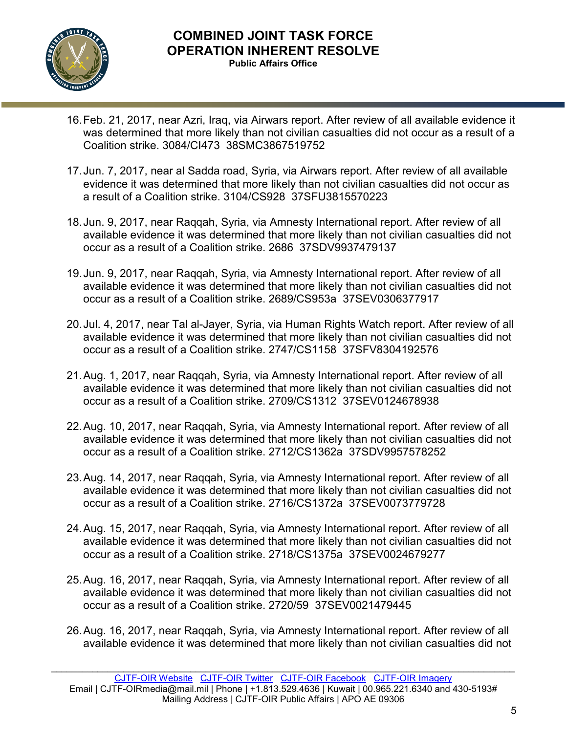

- 16.Feb. 21, 2017, near Azri, Iraq, via Airwars report. After review of all available evidence it was determined that more likely than not civilian casualties did not occur as a result of a Coalition strike. 3084/CI473 38SMC3867519752
- 17.Jun. 7, 2017, near al Sadda road, Syria, via Airwars report. After review of all available evidence it was determined that more likely than not civilian casualties did not occur as a result of a Coalition strike. 3104/CS928 37SFU3815570223
- 18.Jun. 9, 2017, near Raqqah, Syria, via Amnesty International report. After review of all available evidence it was determined that more likely than not civilian casualties did not occur as a result of a Coalition strike. 2686 37SDV9937479137
- 19.Jun. 9, 2017, near Raqqah, Syria, via Amnesty International report. After review of all available evidence it was determined that more likely than not civilian casualties did not occur as a result of a Coalition strike. 2689/CS953a 37SEV0306377917
- 20.Jul. 4, 2017, near Tal al-Jayer, Syria, via Human Rights Watch report. After review of all available evidence it was determined that more likely than not civilian casualties did not occur as a result of a Coalition strike. 2747/CS1158 37SFV8304192576
- 21.Aug. 1, 2017, near Raqqah, Syria, via Amnesty International report. After review of all available evidence it was determined that more likely than not civilian casualties did not occur as a result of a Coalition strike. 2709/CS1312 37SEV0124678938
- 22.Aug. 10, 2017, near Raqqah, Syria, via Amnesty International report. After review of all available evidence it was determined that more likely than not civilian casualties did not occur as a result of a Coalition strike. 2712/CS1362a 37SDV9957578252
- 23.Aug. 14, 2017, near Raqqah, Syria, via Amnesty International report. After review of all available evidence it was determined that more likely than not civilian casualties did not occur as a result of a Coalition strike. 2716/CS1372a 37SEV0073779728
- 24.Aug. 15, 2017, near Raqqah, Syria, via Amnesty International report. After review of all available evidence it was determined that more likely than not civilian casualties did not occur as a result of a Coalition strike. 2718/CS1375a 37SEV0024679277
- 25.Aug. 16, 2017, near Raqqah, Syria, via Amnesty International report. After review of all available evidence it was determined that more likely than not civilian casualties did not occur as a result of a Coalition strike. 2720/59 37SEV0021479445
- 26.Aug. 16, 2017, near Raqqah, Syria, via Amnesty International report. After review of all available evidence it was determined that more likely than not civilian casualties did not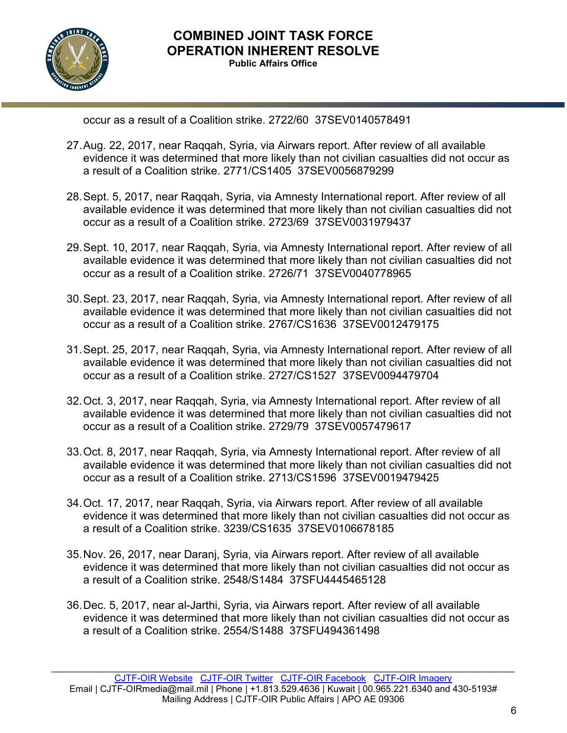

occur as a result of a Coalition strike. 2722/60 37SEV0140578491

- 27.Aug. 22, 2017, near Raqqah, Syria, via Airwars report. After review of all available evidence it was determined that more likely than not civilian casualties did not occur as a result of a Coalition strike. 2771/CS1405 37SEV0056879299
- 28.Sept. 5, 2017, near Raqqah, Syria, via Amnesty International report. After review of all available evidence it was determined that more likely than not civilian casualties did not occur as a result of a Coalition strike. 2723/69 37SEV0031979437
- 29.Sept. 10, 2017, near Raqqah, Syria, via Amnesty International report. After review of all available evidence it was determined that more likely than not civilian casualties did not occur as a result of a Coalition strike. 2726/71 37SEV0040778965
- 30.Sept. 23, 2017, near Raqqah, Syria, via Amnesty International report. After review of all available evidence it was determined that more likely than not civilian casualties did not occur as a result of a Coalition strike. 2767/CS1636 37SEV0012479175
- 31.Sept. 25, 2017, near Raqqah, Syria, via Amnesty International report. After review of all available evidence it was determined that more likely than not civilian casualties did not occur as a result of a Coalition strike. 2727/CS1527 37SEV0094479704
- 32.Oct. 3, 2017, near Raqqah, Syria, via Amnesty International report. After review of all available evidence it was determined that more likely than not civilian casualties did not occur as a result of a Coalition strike. 2729/79 37SEV0057479617
- 33.Oct. 8, 2017, near Raqqah, Syria, via Amnesty International report. After review of all available evidence it was determined that more likely than not civilian casualties did not occur as a result of a Coalition strike. 2713/CS1596 37SEV0019479425
- 34.Oct. 17, 2017, near Raqqah, Syria, via Airwars report. After review of all available evidence it was determined that more likely than not civilian casualties did not occur as a result of a Coalition strike. 3239/CS1635 37SEV0106678185
- 35.Nov. 26, 2017, near Daranj, Syria, via Airwars report. After review of all available evidence it was determined that more likely than not civilian casualties did not occur as a result of a Coalition strike. 2548/S1484 37SFU4445465128
- 36.Dec. 5, 2017, near al-Jarthi, Syria, via Airwars report. After review of all available evidence it was determined that more likely than not civilian casualties did not occur as a result of a Coalition strike. 2554/S1488 37SFU494361498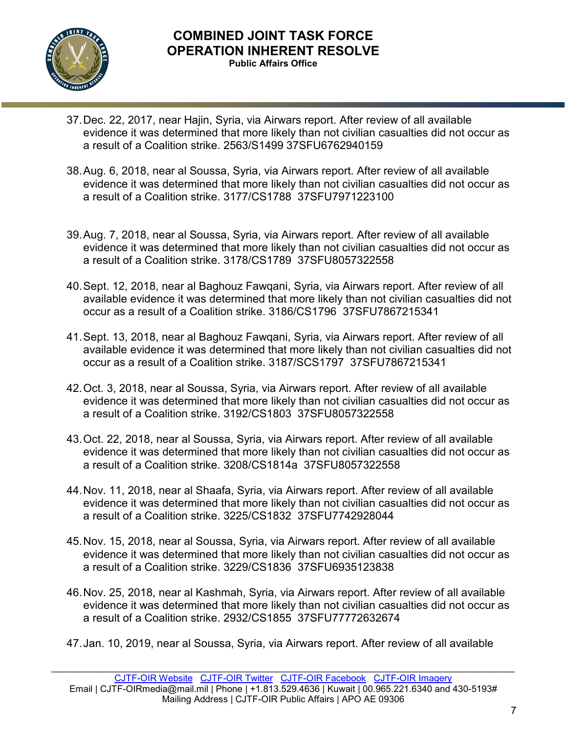

- 37.Dec. 22, 2017, near Hajin, Syria, via Airwars report. After review of all available evidence it was determined that more likely than not civilian casualties did not occur as a result of a Coalition strike. 2563/S1499 37SFU6762940159
- 38.Aug. 6, 2018, near al Soussa, Syria, via Airwars report. After review of all available evidence it was determined that more likely than not civilian casualties did not occur as a result of a Coalition strike. 3177/CS1788 37SFU7971223100
- 39.Aug. 7, 2018, near al Soussa, Syria, via Airwars report. After review of all available evidence it was determined that more likely than not civilian casualties did not occur as a result of a Coalition strike. 3178/CS1789 37SFU8057322558
- 40.Sept. 12, 2018, near al Baghouz Fawqani, Syria, via Airwars report. After review of all available evidence it was determined that more likely than not civilian casualties did not occur as a result of a Coalition strike. 3186/CS1796 37SFU7867215341
- 41.Sept. 13, 2018, near al Baghouz Fawqani, Syria, via Airwars report. After review of all available evidence it was determined that more likely than not civilian casualties did not occur as a result of a Coalition strike. 3187/SCS1797 37SFU7867215341
- 42.Oct. 3, 2018, near al Soussa, Syria, via Airwars report. After review of all available evidence it was determined that more likely than not civilian casualties did not occur as a result of a Coalition strike. 3192/CS1803 37SFU8057322558
- 43.Oct. 22, 2018, near al Soussa, Syria, via Airwars report. After review of all available evidence it was determined that more likely than not civilian casualties did not occur as a result of a Coalition strike. 3208/CS1814a 37SFU8057322558
- 44.Nov. 11, 2018, near al Shaafa, Syria, via Airwars report. After review of all available evidence it was determined that more likely than not civilian casualties did not occur as a result of a Coalition strike. 3225/CS1832 37SFU7742928044
- 45.Nov. 15, 2018, near al Soussa, Syria, via Airwars report. After review of all available evidence it was determined that more likely than not civilian casualties did not occur as a result of a Coalition strike. 3229/CS1836 37SFU6935123838
- 46.Nov. 25, 2018, near al Kashmah, Syria, via Airwars report. After review of all available evidence it was determined that more likely than not civilian casualties did not occur as a result of a Coalition strike. 2932/CS1855 37SFU77772632674
- 47.Jan. 10, 2019, near al Soussa, Syria, via Airwars report. After review of all available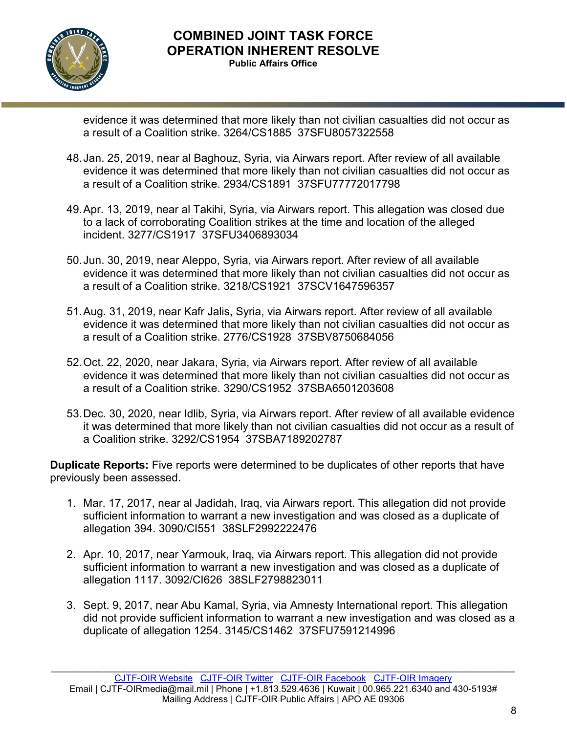

evidence it was determined that more likely than not civilian casualties did not occur as a result of a Coalition strike. 3264/CS1885 37SFU8057322558

- 48.Jan. 25, 2019, near al Baghouz, Syria, via Airwars report. After review of all available evidence it was determined that more likely than not civilian casualties did not occur as a result of a Coalition strike. 2934/CS1891 37SFU77772017798
- 49.Apr. 13, 2019, near al Takihi, Syria, via Airwars report. This allegation was closed due to a lack of corroborating Coalition strikes at the time and location of the alleged incident. 3277/CS1917 37SFU3406893034
- 50.Jun. 30, 2019, near Aleppo, Syria, via Airwars report. After review of all available evidence it was determined that more likely than not civilian casualties did not occur as a result of a Coalition strike. 3218/CS1921 37SCV1647596357
- 51.Aug. 31, 2019, near Kafr Jalis, Syria, via Airwars report. After review of all available evidence it was determined that more likely than not civilian casualties did not occur as a result of a Coalition strike. 2776/CS1928 37SBV8750684056
- 52.Oct. 22, 2020, near Jakara, Syria, via Airwars report. After review of all available evidence it was determined that more likely than not civilian casualties did not occur as a result of a Coalition strike. 3290/CS1952 37SBA6501203608
- 53.Dec. 30, 2020, near Idlib, Syria, via Airwars report. After review of all available evidence it was determined that more likely than not civilian casualties did not occur as a result of a Coalition strike. 3292/CS1954 37SBA7189202787

**Duplicate Reports:** Five reports were determined to be duplicates of other reports that have previously been assessed.

- 1. Mar. 17, 2017, near al Jadidah, Iraq, via Airwars report. This allegation did not provide sufficient information to warrant a new investigation and was closed as a duplicate of allegation 394. 3090/CI551 38SLF2992222476
- 2. Apr. 10, 2017, near Yarmouk, Iraq, via Airwars report. This allegation did not provide sufficient information to warrant a new investigation and was closed as a duplicate of allegation 1117. 3092/CI626 38SLF2798823011
- 3. Sept. 9, 2017, near Abu Kamal, Syria, via Amnesty International report. This allegation did not provide sufficient information to warrant a new investigation and was closed as a duplicate of allegation 1254. 3145/CS1462 37SFU7591214996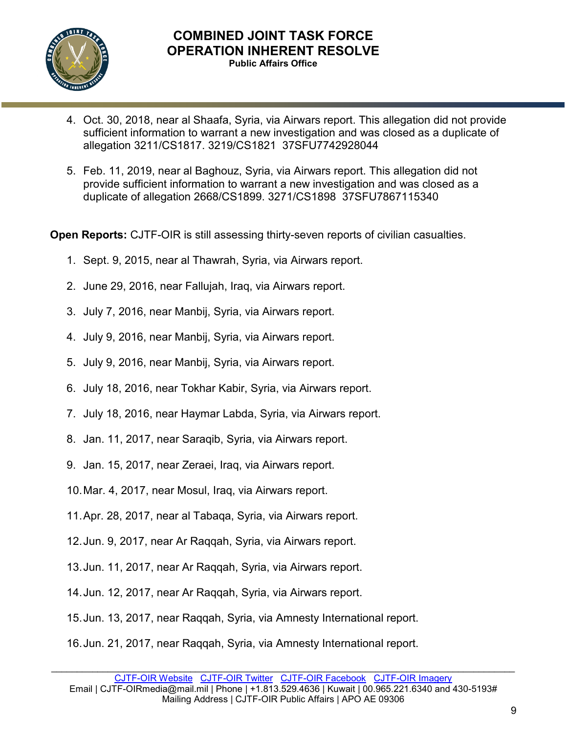

- 4. Oct. 30, 2018, near al Shaafa, Syria, via Airwars report. This allegation did not provide sufficient information to warrant a new investigation and was closed as a duplicate of allegation 3211/CS1817. 3219/CS1821 37SFU7742928044
- 5. Feb. 11, 2019, near al Baghouz, Syria, via Airwars report. This allegation did not provide sufficient information to warrant a new investigation and was closed as a duplicate of allegation 2668/CS1899. 3271/CS1898 37SFU7867115340

**Open Reports:** CJTF-OIR is still assessing thirty-seven reports of civilian casualties.

- 1. Sept. 9, 2015, near al Thawrah, Syria, via Airwars report.
- 2. June 29, 2016, near Fallujah, Iraq, via Airwars report.
- 3. July 7, 2016, near Manbij, Syria, via Airwars report.
- 4. July 9, 2016, near Manbij, Syria, via Airwars report.
- 5. July 9, 2016, near Manbij, Syria, via Airwars report.
- 6. July 18, 2016, near Tokhar Kabir, Syria, via Airwars report.
- 7. July 18, 2016, near Haymar Labda, Syria, via Airwars report.
- 8. Jan. 11, 2017, near Saraqib, Syria, via Airwars report.
- 9. Jan. 15, 2017, near Zeraei, Iraq, via Airwars report.
- 10.Mar. 4, 2017, near Mosul, Iraq, via Airwars report.
- 11.Apr. 28, 2017, near al Tabaqa, Syria, via Airwars report.
- 12.Jun. 9, 2017, near Ar Raqqah, Syria, via Airwars report.
- 13.Jun. 11, 2017, near Ar Raqqah, Syria, via Airwars report.
- 14.Jun. 12, 2017, near Ar Raqqah, Syria, via Airwars report.
- 15.Jun. 13, 2017, near Raqqah, Syria, via Amnesty International report.
- 16.Jun. 21, 2017, near Raqqah, Syria, via Amnesty International report.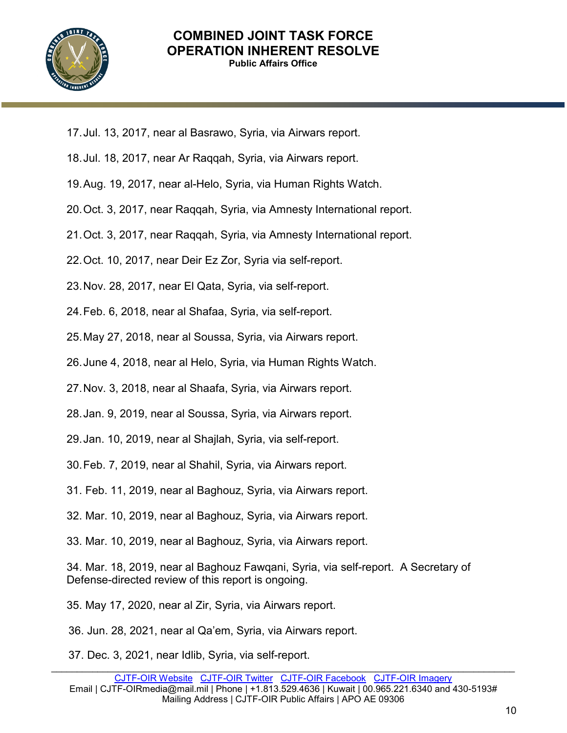

- 17.Jul. 13, 2017, near al Basrawo, Syria, via Airwars report.
- 18.Jul. 18, 2017, near Ar Raqqah, Syria, via Airwars report.
- 19.Aug. 19, 2017, near al-Helo, Syria, via Human Rights Watch.
- 20.Oct. 3, 2017, near Raqqah, Syria, via Amnesty International report.
- 21.Oct. 3, 2017, near Raqqah, Syria, via Amnesty International report.
- 22.Oct. 10, 2017, near Deir Ez Zor, Syria via self-report.
- 23.Nov. 28, 2017, near El Qata, Syria, via self-report.
- 24.Feb. 6, 2018, near al Shafaa, Syria, via self-report.
- 25.May 27, 2018, near al Soussa, Syria, via Airwars report.
- 26.June 4, 2018, near al Helo, Syria, via Human Rights Watch.
- 27.Nov. 3, 2018, near al Shaafa, Syria, via Airwars report.
- 28.Jan. 9, 2019, near al Soussa, Syria, via Airwars report.
- 29.Jan. 10, 2019, near al Shajlah, Syria, via self-report.
- 30.Feb. 7, 2019, near al Shahil, Syria, via Airwars report.
- 31. Feb. 11, 2019, near al Baghouz, Syria, via Airwars report.
- 32. Mar. 10, 2019, near al Baghouz, Syria, via Airwars report.
- 33. Mar. 10, 2019, near al Baghouz, Syria, via Airwars report.

34. Mar. 18, 2019, near al Baghouz Fawqani, Syria, via self-report. A Secretary of Defense-directed review of this report is ongoing.

- 35. May 17, 2020, near al Zir, Syria, via Airwars report.
- 36. Jun. 28, 2021, near al Qa'em, Syria, via Airwars report.
- 37. Dec. 3, 2021, near Idlib, Syria, via self-report.